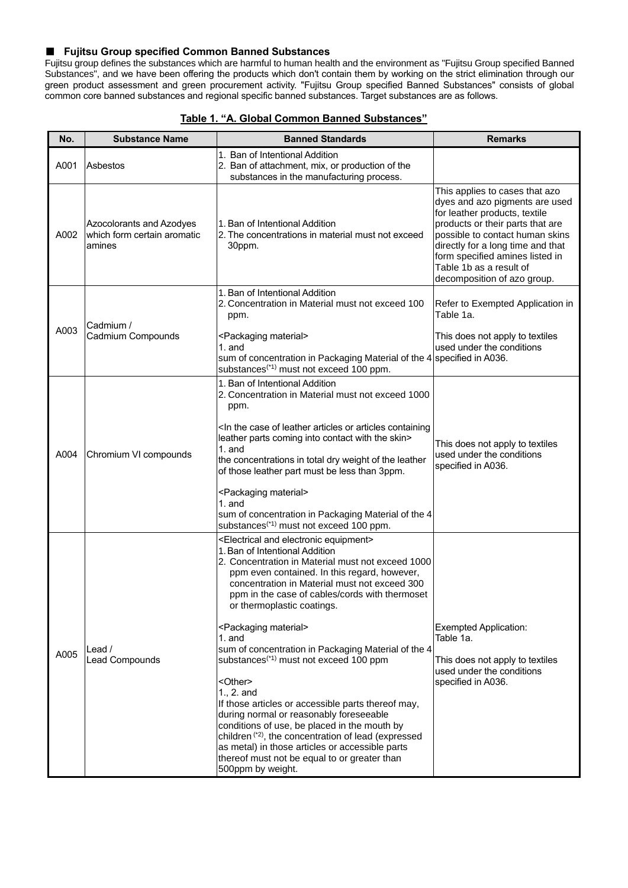#### ■ **Fujitsu Group specified Common Banned Substances**

Fujitsu group defines the substances which are harmful to human health and the environment as "Fujitsu Group specified Banned Substances", and we have been offering the products which don't contain them by working on the strict elimination through our green product assessment and green procurement activity. "Fujitsu Group specified Banned Substances" consists of global common core banned substances and regional specific banned substances. Target substances are as follows.

| No.  | <b>Substance Name</b>                                             | <b>Banned Standards</b>                                                                                                                                                                                                                                                                                                                                                                                                                                                                                                                                                                                                                                                                                                                                                                                                                                                                                     | <b>Remarks</b>                                                                                                                                                                                                                                                                                             |
|------|-------------------------------------------------------------------|-------------------------------------------------------------------------------------------------------------------------------------------------------------------------------------------------------------------------------------------------------------------------------------------------------------------------------------------------------------------------------------------------------------------------------------------------------------------------------------------------------------------------------------------------------------------------------------------------------------------------------------------------------------------------------------------------------------------------------------------------------------------------------------------------------------------------------------------------------------------------------------------------------------|------------------------------------------------------------------------------------------------------------------------------------------------------------------------------------------------------------------------------------------------------------------------------------------------------------|
|      |                                                                   | 1. Ban of Intentional Addition                                                                                                                                                                                                                                                                                                                                                                                                                                                                                                                                                                                                                                                                                                                                                                                                                                                                              |                                                                                                                                                                                                                                                                                                            |
| A001 | Asbestos                                                          | 2. Ban of attachment, mix, or production of the<br>substances in the manufacturing process.                                                                                                                                                                                                                                                                                                                                                                                                                                                                                                                                                                                                                                                                                                                                                                                                                 |                                                                                                                                                                                                                                                                                                            |
| A002 | Azocolorants and Azodyes<br>which form certain aromatic<br>amines | 1. Ban of Intentional Addition<br>2. The concentrations in material must not exceed<br>30ppm.                                                                                                                                                                                                                                                                                                                                                                                                                                                                                                                                                                                                                                                                                                                                                                                                               | This applies to cases that azo<br>dyes and azo pigments are used<br>for leather products, textile<br>products or their parts that are<br>possible to contact human skins<br>directly for a long time and that<br>form specified amines listed in<br>Table 1b as a result of<br>decomposition of azo group. |
|      | Cadmium /                                                         | 1. Ban of Intentional Addition<br>2. Concentration in Material must not exceed 100<br>ppm.                                                                                                                                                                                                                                                                                                                                                                                                                                                                                                                                                                                                                                                                                                                                                                                                                  | Refer to Exempted Application in<br>Table 1a.                                                                                                                                                                                                                                                              |
| A003 | Cadmium Compounds                                                 | <packaging material=""><br/><math>1.</math> and<br/>sum of concentration in Packaging Material of the 4<br/>substances<sup>(*1)</sup> must not exceed 100 ppm.</packaging>                                                                                                                                                                                                                                                                                                                                                                                                                                                                                                                                                                                                                                                                                                                                  | This does not apply to textiles<br>used under the conditions<br>specified in A036.                                                                                                                                                                                                                         |
| A004 | Chromium VI compounds                                             | 1. Ban of Intentional Addition<br>2. Concentration in Material must not exceed 1000<br>ppm.<br><in articles="" case="" containing<br="" leather="" of="" or="" the="">leather parts coming into contact with the skin&gt;<br/>1. and<br/>the concentrations in total dry weight of the leather<br/>of those leather part must be less than 3ppm.<br/><packaging material=""><br/><math>1.</math> and<br/>sum of concentration in Packaging Material of the 4<br/>substances<sup>(*1)</sup> must not exceed 100 ppm.</packaging></in>                                                                                                                                                                                                                                                                                                                                                                        | This does not apply to textiles<br>used under the conditions<br>specified in A036.                                                                                                                                                                                                                         |
| A005 | Lead /<br>Lead Compounds                                          | <electrical and="" electronic="" equipment=""><br/>1. Ban of Intentional Addition<br/>2. Concentration in Material must not exceed 1000<br/>ppm even contained. In this regard, however,<br/>concentration in Material must not exceed 300<br/>ppm in the case of cables/cords with thermoset<br/>or thermoplastic coatings.<br/><packaging material=""><br/><math>1.</math> and<br/>sum of concentration in Packaging Material of the 4<br/>substances<sup>(*1)</sup> must not exceed 100 ppm<br/><other><br/>1., 2. and<br/>If those articles or accessible parts thereof may,<br/>during normal or reasonably foreseeable<br/>conditions of use, be placed in the mouth by<br/>children<sup>(*2)</sup>, the concentration of lead (expressed<br/>as metal) in those articles or accessible parts<br/>thereof must not be equal to or greater than<br/>500ppm by weight.</other></packaging></electrical> | <b>Exempted Application:</b><br>Table 1a.<br>This does not apply to textiles<br>used under the conditions<br>specified in A036.                                                                                                                                                                            |

|  |  | Table 1. "A. Global Common Banned Substances" |
|--|--|-----------------------------------------------|
|  |  |                                               |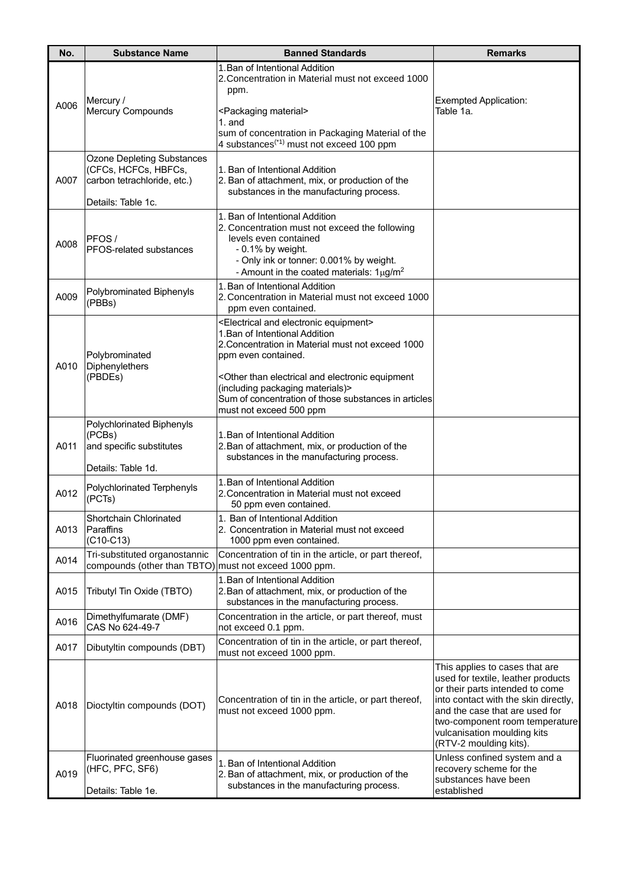| No.  | <b>Substance Name</b>                                                                                          | <b>Banned Standards</b>                                                                                                                                                                                                       | <b>Remarks</b>                                                                                                                                                                                                                                                               |
|------|----------------------------------------------------------------------------------------------------------------|-------------------------------------------------------------------------------------------------------------------------------------------------------------------------------------------------------------------------------|------------------------------------------------------------------------------------------------------------------------------------------------------------------------------------------------------------------------------------------------------------------------------|
|      | Mercury /                                                                                                      | 1. Ban of Intentional Addition<br>2. Concentration in Material must not exceed 1000<br>ppm.                                                                                                                                   | <b>Exempted Application:</b>                                                                                                                                                                                                                                                 |
| A006 | Mercury Compounds                                                                                              | <packaging material=""><br/><math>1.</math> and<br/>sum of concentration in Packaging Material of the<br/>4 substances<sup>(*1)</sup> must not exceed 100 ppm</packaging>                                                     | Table 1a.                                                                                                                                                                                                                                                                    |
| A007 | <b>Ozone Depleting Substances</b><br>(CFCs, HCFCs, HBFCs,<br>carbon tetrachloride, etc.)<br>Details: Table 1c. | 1. Ban of Intentional Addition<br>2. Ban of attachment, mix, or production of the<br>substances in the manufacturing process.                                                                                                 |                                                                                                                                                                                                                                                                              |
| A008 | <b>PFOS/</b><br>PFOS-related substances                                                                        | 1. Ban of Intentional Addition<br>2. Concentration must not exceed the following<br>levels even contained<br>$-0.1\%$ by weight.<br>- Only ink or tonner: 0.001% by weight.<br>- Amount in the coated materials: $1\mu g/m^2$ |                                                                                                                                                                                                                                                                              |
| A009 | Polybrominated Biphenyls<br>(PBBs)                                                                             | 1. Ban of Intentional Addition<br>2. Concentration in Material must not exceed 1000<br>ppm even contained.                                                                                                                    |                                                                                                                                                                                                                                                                              |
| A010 | Polybrominated<br>Diphenylethers<br>(PBDEs)                                                                    | <electrical and="" electronic="" equipment=""><br/>1. Ban of Intentional Addition<br/>2. Concentration in Material must not exceed 1000<br/>ppm even contained.</electrical>                                                  |                                                                                                                                                                                                                                                                              |
|      |                                                                                                                | <other and="" electrical="" electronic="" equipment<br="" than="">(including packaging materials)&gt;<br/>Sum of concentration of those substances in articles<br/>must not exceed 500 ppm</other>                            |                                                                                                                                                                                                                                                                              |
| A011 | Polychlorinated Biphenyls<br>(PCBs)<br>and specific substitutes<br>Details: Table 1d.                          | 1. Ban of Intentional Addition<br>2. Ban of attachment, mix, or production of the<br>substances in the manufacturing process.                                                                                                 |                                                                                                                                                                                                                                                                              |
| A012 | Polychlorinated Terphenyls<br>(PCTs)                                                                           | 1. Ban of Intentional Addition<br>2. Concentration in Material must not exceed<br>50 ppm even contained.                                                                                                                      |                                                                                                                                                                                                                                                                              |
| A013 | Shortchain Chlorinated<br>Paraffins<br>$(C10-C13)$                                                             | 1. Ban of Intentional Addition<br>2. Concentration in Material must not exceed<br>1000 ppm even contained.                                                                                                                    |                                                                                                                                                                                                                                                                              |
| A014 | Tri-substituted organostannic<br>compounds (other than TBTO)                                                   | Concentration of tin in the article, or part thereof,<br>must not exceed 1000 ppm.                                                                                                                                            |                                                                                                                                                                                                                                                                              |
| A015 | Tributyl Tin Oxide (TBTO)                                                                                      | 1. Ban of Intentional Addition<br>2. Ban of attachment, mix, or production of the<br>substances in the manufacturing process.                                                                                                 |                                                                                                                                                                                                                                                                              |
| A016 | Dimethylfumarate (DMF)<br>CAS No 624-49-7                                                                      | Concentration in the article, or part thereof, must<br>not exceed 0.1 ppm.                                                                                                                                                    |                                                                                                                                                                                                                                                                              |
| A017 | Dibutyltin compounds (DBT)                                                                                     | Concentration of tin in the article, or part thereof,<br>must not exceed 1000 ppm.                                                                                                                                            |                                                                                                                                                                                                                                                                              |
| A018 | Dioctyltin compounds (DOT)                                                                                     | Concentration of tin in the article, or part thereof,<br>must not exceed 1000 ppm.                                                                                                                                            | This applies to cases that are<br>used for textile, leather products<br>or their parts intended to come<br>into contact with the skin directly,<br>and the case that are used for<br>two-component room temperature<br>vulcanisation moulding kits<br>(RTV-2 moulding kits). |
| A019 | Fluorinated greenhouse gases<br>(HFC, PFC, SF6)<br>Details: Table 1e.                                          | 1. Ban of Intentional Addition<br>2. Ban of attachment, mix, or production of the<br>substances in the manufacturing process.                                                                                                 | Unless confined system and a<br>recovery scheme for the<br>substances have been<br>established                                                                                                                                                                               |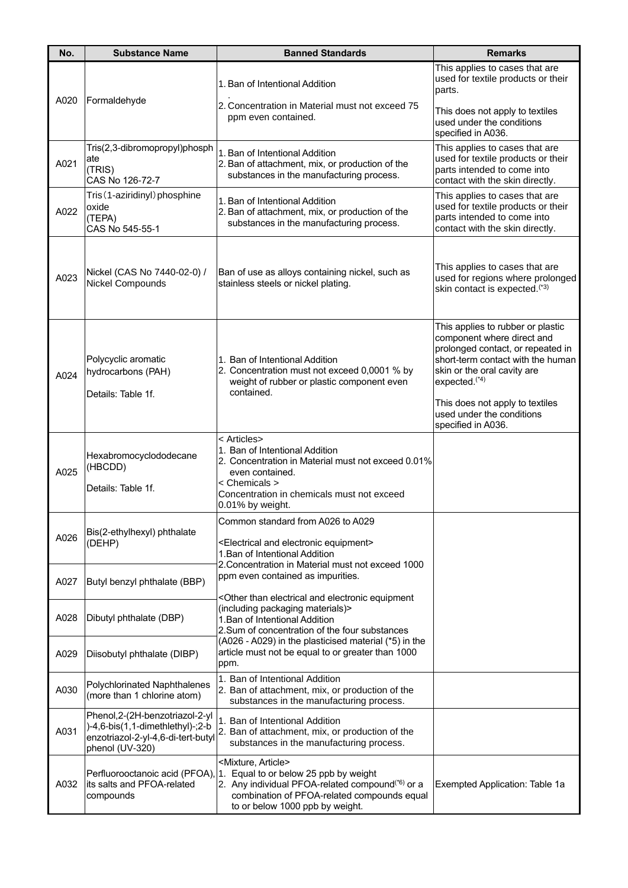| No.  | <b>Substance Name</b>                                                                                                        | <b>Banned Standards</b>                                                                                                                                                                                                                                       | <b>Remarks</b>                                                                                                                                                                                                                                                        |
|------|------------------------------------------------------------------------------------------------------------------------------|---------------------------------------------------------------------------------------------------------------------------------------------------------------------------------------------------------------------------------------------------------------|-----------------------------------------------------------------------------------------------------------------------------------------------------------------------------------------------------------------------------------------------------------------------|
| A020 | Formaldehyde                                                                                                                 | 1. Ban of Intentional Addition                                                                                                                                                                                                                                | This applies to cases that are<br>used for textile products or their<br>parts.                                                                                                                                                                                        |
|      |                                                                                                                              | 2. Concentration in Material must not exceed 75<br>ppm even contained.                                                                                                                                                                                        | This does not apply to textiles<br>used under the conditions<br>specified in A036.                                                                                                                                                                                    |
| A021 | Tris(2,3-dibromopropyl)phosph<br>ate<br>(TRIS)<br>CAS No 126-72-7                                                            | 1. Ban of Intentional Addition<br>2. Ban of attachment, mix, or production of the<br>substances in the manufacturing process.                                                                                                                                 | This applies to cases that are<br>used for textile products or their<br>parts intended to come into<br>contact with the skin directly.                                                                                                                                |
| A022 | Tris (1-aziridinyl) phosphine<br>oxide<br>(TEPA)<br>CAS No 545-55-1                                                          | 1. Ban of Intentional Addition<br>2. Ban of attachment, mix, or production of the<br>substances in the manufacturing process.                                                                                                                                 | This applies to cases that are<br>used for textile products or their<br>parts intended to come into<br>contact with the skin directly.                                                                                                                                |
| A023 | Nickel (CAS No 7440-02-0) /<br>Nickel Compounds                                                                              | Ban of use as alloys containing nickel, such as<br>stainless steels or nickel plating.                                                                                                                                                                        | This applies to cases that are<br>used for regions where prolonged<br>skin contact is expected. <sup>(*3)</sup>                                                                                                                                                       |
| A024 | Polycyclic aromatic<br>hydrocarbons (PAH)<br>Details: Table 1f.                                                              | 1. Ban of Intentional Addition<br>2. Concentration must not exceed 0,0001 % by<br>weight of rubber or plastic component even<br>contained.                                                                                                                    | This applies to rubber or plastic<br>component where direct and<br>prolonged contact, or repeated in<br>short-term contact with the human<br>skin or the oral cavity are<br>expected. <sup>(*4)</sup><br>This does not apply to textiles<br>used under the conditions |
| A025 | Hexabromocyclododecane<br>(HBCDD)<br>Details: Table 1f.                                                                      | < Articles><br>1. Ban of Intentional Addition<br>2. Concentration in Material must not exceed 0.01%<br>even contained.<br>< Chemicals ><br>Concentration in chemicals must not exceed<br>0.01% by weight.                                                     | specified in A036.                                                                                                                                                                                                                                                    |
| A026 | Bis(2-ethylhexyl) phthalate<br>(DEHP)                                                                                        | Common standard from A026 to A029<br><electrical and="" electronic="" equipment=""><br/>1. Ban of Intentional Addition</electrical>                                                                                                                           |                                                                                                                                                                                                                                                                       |
| A027 | Butyl benzyl phthalate (BBP)                                                                                                 | 2. Concentration in Material must not exceed 1000<br>ppm even contained as impurities.                                                                                                                                                                        |                                                                                                                                                                                                                                                                       |
| A028 | Dibutyl phthalate (DBP)                                                                                                      | <other and="" electrical="" electronic="" equipment<br="" than="">(including packaging materials)&gt;<br/>1. Ban of Intentional Addition<br/>2. Sum of concentration of the four substances</other>                                                           |                                                                                                                                                                                                                                                                       |
| A029 | Diisobutyl phthalate (DIBP)                                                                                                  | (A026 - A029) in the plasticised material (*5) in the<br>article must not be equal to or greater than 1000<br>ppm.                                                                                                                                            |                                                                                                                                                                                                                                                                       |
| A030 | Polychlorinated Naphthalenes<br>(more than 1 chlorine atom)                                                                  | 1. Ban of Intentional Addition<br>2. Ban of attachment, mix, or production of the<br>substances in the manufacturing process.                                                                                                                                 |                                                                                                                                                                                                                                                                       |
| A031 | Phenol, 2-(2H-benzotriazol-2-yl<br>)-4,6-bis(1,1-dimethlethyl)-;2-b<br>enzotriazol-2-yl-4,6-di-tert-butyl<br>phenol (UV-320) | 1. Ban of Intentional Addition<br>2. Ban of attachment, mix, or production of the<br>substances in the manufacturing process.                                                                                                                                 |                                                                                                                                                                                                                                                                       |
| A032 | its salts and PFOA-related<br>compounds                                                                                      | <mixture, article=""><br/>Perfluorooctanoic acid (PFOA), 1. Equal to or below 25 ppb by weight<br/>2. Any individual PFOA-related compound<sup>(*6)</sup> or a<br/>combination of PFOA-related compounds equal<br/>to or below 1000 ppb by weight.</mixture,> | Exempted Application: Table 1a                                                                                                                                                                                                                                        |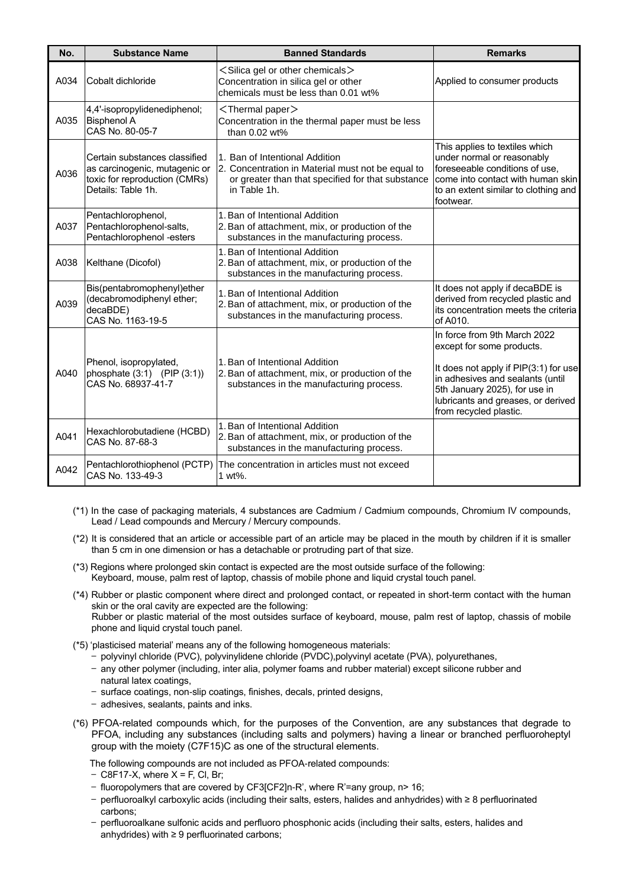| No.  | <b>Substance Name</b>                                                                                                 | <b>Banned Standards</b>                                                                                                                                  | <b>Remarks</b>                                                                                                                                                                                                                          |
|------|-----------------------------------------------------------------------------------------------------------------------|----------------------------------------------------------------------------------------------------------------------------------------------------------|-----------------------------------------------------------------------------------------------------------------------------------------------------------------------------------------------------------------------------------------|
| A034 | Cobalt dichloride                                                                                                     | <silica chemicals="" gel="" or="" other=""><br/>Concentration in silica gel or other<br/>chemicals must be less than 0.01 wt%</silica>                   | Applied to consumer products                                                                                                                                                                                                            |
| A035 | 4,4'-isopropylidenediphenol;<br><b>Bisphenol A</b><br>CAS No. 80-05-7                                                 | <thermal paper=""><br/>Concentration in the thermal paper must be less<br/>than 0.02 wt%</thermal>                                                       |                                                                                                                                                                                                                                         |
| A036 | Certain substances classified<br>as carcinogenic, mutagenic or<br>toxic for reproduction (CMRs)<br>Details: Table 1h. | 1. Ban of Intentional Addition<br>2. Concentration in Material must not be equal to<br>or greater than that specified for that substance<br>in Table 1h. | This applies to textiles which<br>under normal or reasonably<br>foreseeable conditions of use,<br>come into contact with human skin<br>to an extent similar to clothing and<br>footwear.                                                |
| A037 | Pentachlorophenol,<br>Pentachlorophenol-salts,<br>Pentachlorophenol -esters                                           | 1. Ban of Intentional Addition<br>2. Ban of attachment, mix, or production of the<br>substances in the manufacturing process.                            |                                                                                                                                                                                                                                         |
| A038 | Kelthane (Dicofol)                                                                                                    | 1. Ban of Intentional Addition<br>2. Ban of attachment, mix, or production of the<br>substances in the manufacturing process.                            |                                                                                                                                                                                                                                         |
| A039 | Bis(pentabromophenyl)ether<br>(decabromodiphenyl ether;<br>decaBDE)<br>CAS No. 1163-19-5                              | 1. Ban of Intentional Addition<br>2. Ban of attachment, mix, or production of the<br>substances in the manufacturing process.                            | It does not apply if decaBDE is<br>derived from recycled plastic and<br>its concentration meets the criteria<br>of A010.                                                                                                                |
| A040 | Phenol, isopropylated,<br>phosphate $(3:1)$ (PIP $(3:1)$ )<br>CAS No. 68937-41-7                                      | 1. Ban of Intentional Addition<br>2. Ban of attachment, mix, or production of the<br>substances in the manufacturing process.                            | In force from 9th March 2022<br>except for some products.<br>It does not apply if PIP(3:1) for use<br>in adhesives and sealants (until<br>5th January 2025), for use in<br>lubricants and greases, or derived<br>from recycled plastic. |
| A041 | Hexachlorobutadiene (HCBD)<br>CAS No. 87-68-3                                                                         | 1. Ban of Intentional Addition<br>2. Ban of attachment, mix, or production of the<br>substances in the manufacturing process.                            |                                                                                                                                                                                                                                         |
| A042 | Pentachlorothiophenol (PCTP)<br>CAS No. 133-49-3                                                                      | The concentration in articles must not exceed<br>1 wt%.                                                                                                  |                                                                                                                                                                                                                                         |

- (\*1) In the case of packaging materials, 4 substances are Cadmium / Cadmium compounds, Chromium IV compounds, Lead / Lead compounds and Mercury / Mercury compounds.
- (\*2) It is considered that an article or accessible part of an article may be placed in the mouth by children if it is smaller than 5 cm in one dimension or has a detachable or protruding part of that size.
- (\*3) Regions where prolonged skin contact is expected are the most outside surface of the following: Keyboard, mouse, palm rest of laptop, chassis of mobile phone and liquid crystal touch panel.
- (\*4) Rubber or plastic component where direct and prolonged contact, or repeated in short-term contact with the human skin or the oral cavity are expected are the following: Rubber or plastic material of the most outsides surface of keyboard, mouse, palm rest of laptop, chassis of mobile phone and liquid crystal touch panel.
- (\*5) 'plasticised material' means any of the following homogeneous materials:
	- polyvinyl chloride (PVC), polyvinylidene chloride (PVDC),polyvinyl acetate (PVA), polyurethanes,
	- any other polymer (including, inter alia, polymer foams and rubber material) except silicone rubber and natural latex coatings,
	- surface coatings, non-slip coatings, finishes, decals, printed designs,
	- adhesives, sealants, paints and inks.
- (\*6) PFOA-related compounds which, for the purposes of the Convention, are any substances that degrade to PFOA, including any substances (including salts and polymers) having a linear or branched perfluoroheptyl group with the moiety (C7F15)C as one of the structural elements.

The following compounds are not included as PFOA-related compounds:

- $-$  C8F17-X, where X = F, Cl, Br;
- fluoropolymers that are covered by CF3[CF2]n-R', where R'=any group, n> 16;
- perfluoroalkyl carboxylic acids (including their salts, esters, halides and anhydrides) with ≥ 8 perfluorinated carbons;
- perfluoroalkane sulfonic acids and perfluoro phosphonic acids (including their salts, esters, halides and anhydrides) with ≥ 9 perfluorinated carbons;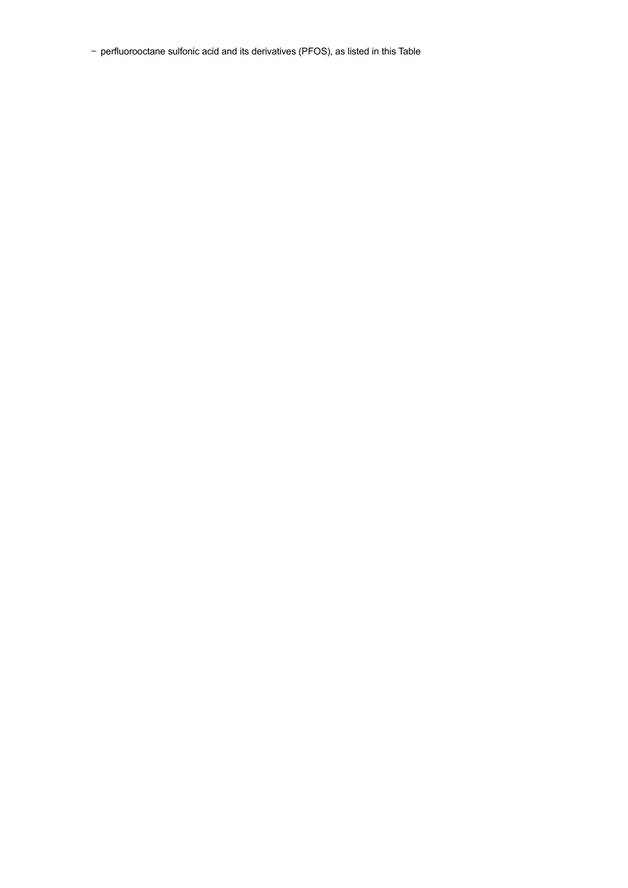— perfluorooctane sulfonic acid and its derivatives (PFOS), as listed in this Table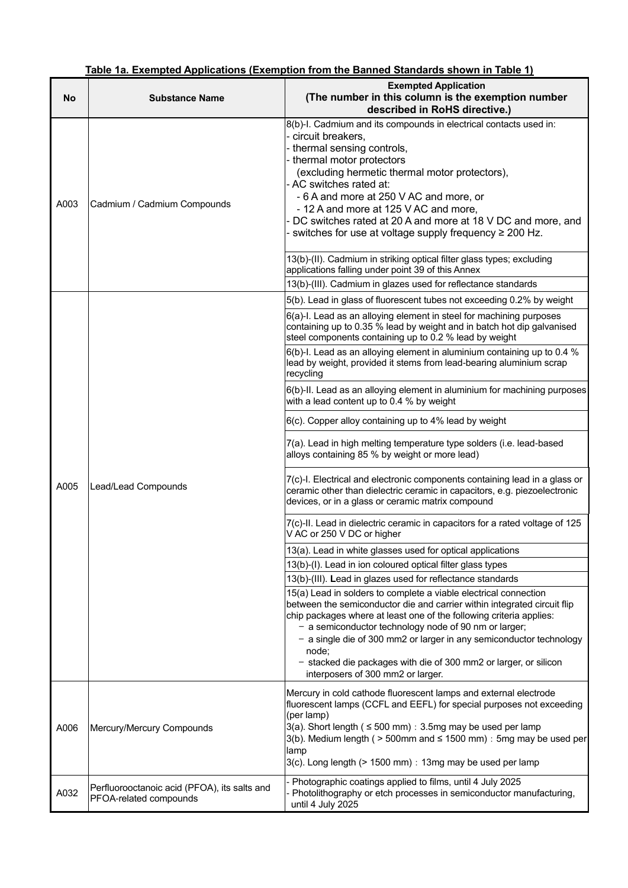|  |  |  |  | Table 1a. Exempted Applications (Exemption from the Banned Standards shown in Table 1) |
|--|--|--|--|----------------------------------------------------------------------------------------|
|--|--|--|--|----------------------------------------------------------------------------------------|

| No   | <b>Substance Name</b>                                                  | <b>Exempted Application</b><br>(The number in this column is the exemption number<br>described in RoHS directive.)                                                                                                                                                                                                                                                                                                                                                    |
|------|------------------------------------------------------------------------|-----------------------------------------------------------------------------------------------------------------------------------------------------------------------------------------------------------------------------------------------------------------------------------------------------------------------------------------------------------------------------------------------------------------------------------------------------------------------|
| A003 | Cadmium / Cadmium Compounds                                            | 8(b)-I. Cadmium and its compounds in electrical contacts used in:<br>circuit breakers.<br>thermal sensing controls,<br>thermal motor protectors<br>(excluding hermetic thermal motor protectors),<br>- AC switches rated at:<br>- 6 A and more at 250 V AC and more, or<br>- 12 A and more at 125 V AC and more,<br>DC switches rated at 20 A and more at 18 V DC and more, and<br>switches for use at voltage supply frequency ≥ 200 Hz.                             |
|      |                                                                        | 13(b)-(II). Cadmium in striking optical filter glass types; excluding<br>applications falling under point 39 of this Annex                                                                                                                                                                                                                                                                                                                                            |
|      |                                                                        | 13(b)-(III). Cadmium in glazes used for reflectance standards                                                                                                                                                                                                                                                                                                                                                                                                         |
|      |                                                                        | 5(b). Lead in glass of fluorescent tubes not exceeding 0.2% by weight                                                                                                                                                                                                                                                                                                                                                                                                 |
|      |                                                                        | 6(a)-I. Lead as an alloying element in steel for machining purposes<br>containing up to 0.35 % lead by weight and in batch hot dip galvanised<br>steel components containing up to 0.2 % lead by weight                                                                                                                                                                                                                                                               |
|      |                                                                        | 6(b)-I. Lead as an alloying element in aluminium containing up to 0.4 %<br>lead by weight, provided it stems from lead-bearing aluminium scrap<br>recycling                                                                                                                                                                                                                                                                                                           |
|      |                                                                        | 6(b)-II. Lead as an alloying element in aluminium for machining purposes<br>with a lead content up to 0.4 % by weight                                                                                                                                                                                                                                                                                                                                                 |
|      |                                                                        | 6(c). Copper alloy containing up to 4% lead by weight                                                                                                                                                                                                                                                                                                                                                                                                                 |
|      |                                                                        | 7(a). Lead in high melting temperature type solders (i.e. lead-based<br>alloys containing 85 % by weight or more lead)                                                                                                                                                                                                                                                                                                                                                |
| A005 | Lead/Lead Compounds                                                    | 7(c)-I. Electrical and electronic components containing lead in a glass or<br>ceramic other than dielectric ceramic in capacitors, e.g. piezoelectronic<br>devices, or in a glass or ceramic matrix compound                                                                                                                                                                                                                                                          |
|      |                                                                        | 7(c)-II. Lead in dielectric ceramic in capacitors for a rated voltage of 125<br>V AC or 250 V DC or higher                                                                                                                                                                                                                                                                                                                                                            |
|      |                                                                        | 13(a). Lead in white glasses used for optical applications                                                                                                                                                                                                                                                                                                                                                                                                            |
|      |                                                                        | 13(b)-(I). Lead in ion coloured optical filter glass types                                                                                                                                                                                                                                                                                                                                                                                                            |
|      |                                                                        | 13(b)-(III). Lead in glazes used for reflectance standards                                                                                                                                                                                                                                                                                                                                                                                                            |
|      |                                                                        | 15(a) Lead in solders to complete a viable electrical connection<br>between the semiconductor die and carrier within integrated circuit flip<br>chip packages where at least one of the following criteria applies:<br>- a semiconductor technology node of 90 nm or larger;<br>- a single die of 300 mm2 or larger in any semiconductor technology<br>node:<br>- stacked die packages with die of 300 mm2 or larger, or silicon<br>interposers of 300 mm2 or larger. |
| A006 | Mercury/Mercury Compounds                                              | Mercury in cold cathode fluorescent lamps and external electrode<br>fluorescent lamps (CCFL and EEFL) for special purposes not exceeding<br>(per lamp)<br>3(a). Short length ( $\leq$ 500 mm) : 3.5mg may be used per lamp<br>3(b). Medium length ( $>$ 500mm and $\le$ 1500 mm) : 5mg may be used per<br>lamp<br>3(c). Long length (> 1500 mm) : 13mg may be used per lamp                                                                                           |
| A032 | Perfluorooctanoic acid (PFOA), its salts and<br>PFOA-related compounds | Photographic coatings applied to films, until 4 July 2025<br>Photolithography or etch processes in semiconductor manufacturing,<br>until 4 July 2025                                                                                                                                                                                                                                                                                                                  |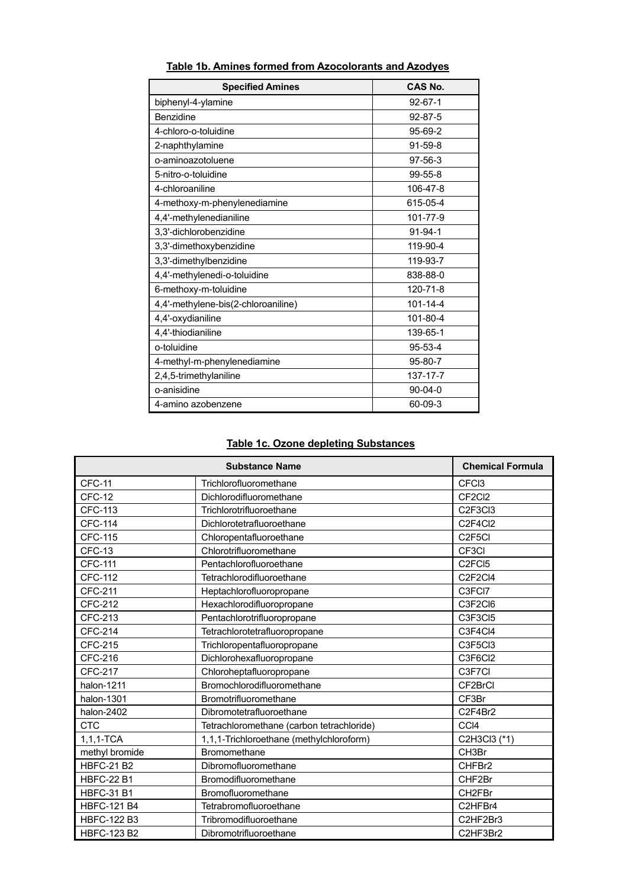| <b>Specified Amines</b>             | CAS No.        |
|-------------------------------------|----------------|
| biphenyl-4-ylamine                  | $92 - 67 - 1$  |
| Benzidine                           | $92 - 87 - 5$  |
| 4-chloro-o-toluidine                | 95-69-2        |
| 2-naphthylamine                     | $91 - 59 - 8$  |
| o-aminoazotoluene                   | $97 - 56 - 3$  |
| 5-nitro-o-toluidine                 | $99 - 55 - 8$  |
| 4-chloroaniline                     | 106-47-8       |
| 4-methoxy-m-phenylenediamine        | 615-05-4       |
| 4,4'-methylenedianiline             | 101-77-9       |
| 3,3'-dichlorobenzidine              | $91 - 94 - 1$  |
| 3,3'-dimethoxybenzidine             | 119-90-4       |
| 3,3'-dimethylbenzidine              | 119-93-7       |
| 4,4'-methylenedi-o-toluidine        | 838-88-0       |
| 6-methoxy-m-toluidine               | 120-71-8       |
| 4,4'-methylene-bis(2-chloroaniline) | $101 - 14 - 4$ |
| 4,4'-oxydianiline                   | 101-80-4       |
| 4,4'-thiodianiline                  | 139-65-1       |
| o-toluidine                         | $95 - 53 - 4$  |
| 4-methyl-m-phenylenediamine         | 95-80-7        |
| 2,4,5-trimethylaniline              | 137-17-7       |
| o-anisidine                         | $90-04-0$      |
| 4-amino azobenzene                  | 60-09-3        |

## **Table 1b. Amines formed from Azocolorants and Azodyes**

#### **Table 1c. Ozone depleting Substances**

|                    | <b>Chemical Formula</b>                   |                                 |
|--------------------|-------------------------------------------|---------------------------------|
| <b>CFC-11</b>      | Trichlorofluoromethane                    | CFC <sub>3</sub>                |
| CFC-12             | Dichlorodifluoromethane                   | CF <sub>2</sub> C <sub>12</sub> |
| <b>CFC-113</b>     | Trichlorotrifluoroethane                  | C <sub>2F3Cl3</sub>             |
| <b>CFC-114</b>     | Dichlorotetrafluoroethane                 | C2F4Cl2                         |
| <b>CFC-115</b>     | Chloropentafluoroethane                   | C <sub>2F5CI</sub>              |
| <b>CFC-13</b>      | Chlorotrifluoromethane                    | CF <sub>3</sub> CI              |
| <b>CFC-111</b>     | Pentachlorofluoroethane                   | C <sub>2</sub> FC <sub>15</sub> |
| CFC-112            | Tetrachlorodifluoroethane                 | C2F2Cl4                         |
| <b>CFC-211</b>     | Heptachlorofluoropropane                  | C3FCI7                          |
| <b>CFC-212</b>     | Hexachlorodifluoropropane                 | C3F2Cl6                         |
| CFC-213            | Pentachlorotrifluoropropane               | C3F3CI5                         |
| <b>CFC-214</b>     | Tetrachlorotetrafluoropropane             | C3F4Cl4                         |
| <b>CFC-215</b>     | Trichloropentafluoropropane               | C3F5Cl3                         |
| CFC-216            | Dichlorohexafluoropropane                 | C3F6Cl2                         |
| <b>CFC-217</b>     | Chloroheptafluoropropane                  | C3F7CI                          |
| halon-1211         | Bromochlorodifluoromethane                | CF2BrCl                         |
| halon-1301         | Bromotrifluoromethane                     | CF3Br                           |
| halon-2402         | Dibromotetrafluoroethane                  | C2F4Br2                         |
| <b>CTC</b>         | Tetrachloromethane (carbon tetrachloride) | CCI4                            |
| $1, 1, 1$ -TCA     | 1,1,1-Trichloroethane (methylchloroform)  | C2H3Cl3 (*1)                    |
| methyl bromide     | Bromomethane                              | CH3Br                           |
| <b>HBFC-21 B2</b>  | Dibromofluoromethane                      | CHFBr2                          |
| <b>HBFC-22 B1</b>  | Bromodifluoromethane                      | CHF2Br                          |
| <b>HBFC-31 B1</b>  | Bromofluoromethane                        | CH2FBr                          |
| <b>HBFC-121 B4</b> | Tetrabromofluoroethane                    | C2HFBr4                         |
| <b>HBFC-122 B3</b> | Tribromodifluoroethane                    | C2HF2Br3                        |
| <b>HBFC-123 B2</b> | Dibromotrifluoroethane                    | C2HF3Br2                        |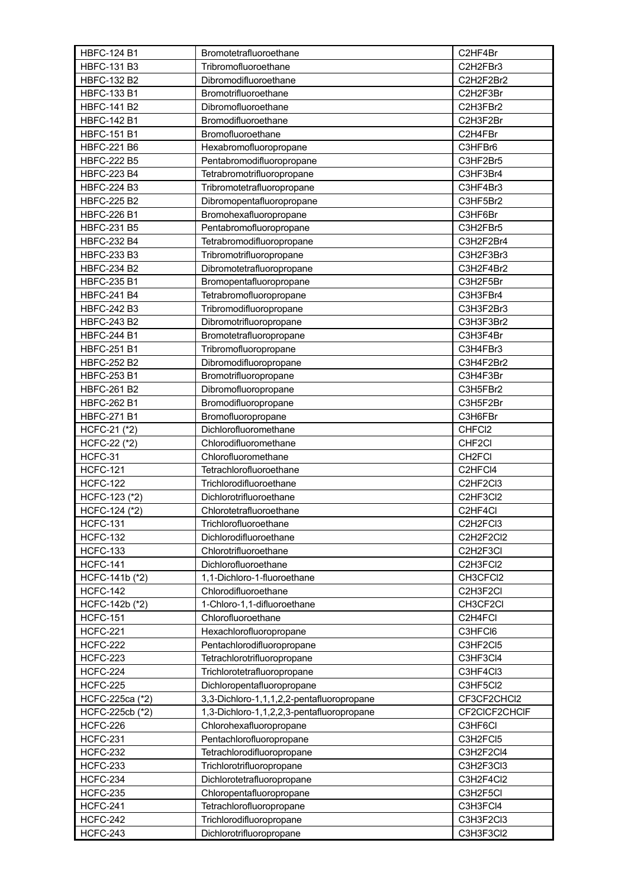| <b>HBFC-124 B1</b> | Bromotetrafluoroethane                    | C2HF4Br             |
|--------------------|-------------------------------------------|---------------------|
| <b>HBFC-131 B3</b> | Tribromofluoroethane                      | C2H2FBr3            |
| <b>HBFC-132 B2</b> | Dibromodifluoroethane                     | C2H2F2Br2           |
| <b>HBFC-133 B1</b> | Bromotrifluoroethane                      | C2H2F3Br            |
| <b>HBFC-141 B2</b> | Dibromofluoroethane                       | C2H3FBr2            |
| <b>HBFC-142 B1</b> | Bromodifluoroethane                       | C2H3F2Br            |
| <b>HBFC-151 B1</b> | Bromofluoroethane                         | C2H4FBr             |
| <b>HBFC-221 B6</b> | Hexabromofluoropropane                    | C3HFBr6             |
| <b>HBFC-222 B5</b> | Pentabromodifluoropropane                 | C3HF2Br5            |
| <b>HBFC-223 B4</b> | Tetrabromotrifluoropropane                | C3HF3Br4            |
| <b>HBFC-224 B3</b> | Tribromotetrafluoropropane                | C3HF4Br3            |
| <b>HBFC-225 B2</b> | Dibromopentafluoropropane                 | C3HF5Br2            |
| <b>HBFC-226 B1</b> | Bromohexafluoropropane                    | C3HF6Br             |
| <b>HBFC-231 B5</b> | Pentabromofluoropropane                   | C3H2FBr5            |
| <b>HBFC-232 B4</b> | Tetrabromodifluoropropane                 | C3H2F2Br4           |
| <b>HBFC-233 B3</b> | Tribromotrifluoropropane                  | C3H2F3Br3           |
| <b>HBFC-234 B2</b> | Dibromotetrafluoropropane                 | C3H2F4Br2           |
| <b>HBFC-235 B1</b> | Bromopentafluoropropane                   | C3H2F5Br            |
| <b>HBFC-241 B4</b> | Tetrabromofluoropropane                   | C3H3FBr4            |
| <b>HBFC-242 B3</b> | Tribromodifluoropropane                   | C3H3F2Br3           |
| <b>HBFC-243 B2</b> | Dibromotrifluoropropane                   | C3H3F3Br2           |
| <b>HBFC-244 B1</b> | Bromotetrafluoropropane                   | C3H3F4Br            |
| <b>HBFC-251 B1</b> | Tribromofluoropropane                     | C3H4FBr3            |
| <b>HBFC-252 B2</b> | Dibromodifluoropropane                    | C3H4F2Br2           |
| <b>HBFC-253 B1</b> | Bromotrifluoropropane                     | C3H4F3Br            |
| <b>HBFC-261 B2</b> | Dibromofluoropropane                      | C3H5FBr2            |
| <b>HBFC-262 B1</b> | Bromodifluoropropane                      | C3H5F2Br            |
| <b>HBFC-271 B1</b> | Bromofluoropropane                        | C3H6FBr             |
| HCFC-21 (*2)       | Dichlorofluoromethane                     | CHFC <sub>2</sub>   |
| HCFC-22 (*2)       | Chlorodifluoromethane                     | CHF <sub>2</sub> Cl |
| HCFC-31            | Chlorofluoromethane                       | CH <sub>2</sub> FCI |
| <b>HCFC-121</b>    | Tetrachlorofluoroethane                   | C2HFCI4             |
| <b>HCFC-122</b>    | Trichlorodifluoroethane                   | C2HF2Cl3            |
| HCFC-123 (*2)      | Dichlorotrifluoroethane                   | C2HF3Cl2            |
| HCFC-124 (*2)      | Chlorotetrafluoroethane                   | C2HF4Cl             |
| <b>HCFC-131</b>    | Trichlorofluoroethane                     | C2H2FCI3            |
| <b>HCFC-132</b>    | Dichlorodifluoroethane                    | C2H2F2Cl2           |
| <b>HCFC-133</b>    | Chlorotrifluoroethane                     | C2H2F3CI            |
| <b>HCFC-141</b>    | Dichlorofluoroethane                      | C2H3FCI2            |
| HCFC-141b (*2)     | 1,1-Dichloro-1-fluoroethane               | CH3CFCI2            |
| <b>HCFC-142</b>    | Chlorodifluoroethane                      | C2H3F2CI            |
| HCFC-142b (*2)     | 1-Chloro-1,1-difluoroethane               | CH3CF2CI            |
| <b>HCFC-151</b>    | Chlorofluoroethane                        | C2H4FCI             |
| <b>HCFC-221</b>    | Hexachlorofluoropropane                   | C3HFCI6             |
| <b>HCFC-222</b>    | Pentachlorodifluoropropane                | C3HF2Cl5            |
| <b>HCFC-223</b>    | Tetrachlorotrifluoropropane               | C3HF3Cl4            |
| <b>HCFC-224</b>    | Trichlorotetrafluoropropane               | C3HF4Cl3            |
| <b>HCFC-225</b>    | Dichloropentafluoropropane                | C3HF5Cl2            |
|                    |                                           | CF3CF2CHCl2         |
| HCFC-225ca (*2)    | 3,3-Dichloro-1,1,1,2,2-pentafluoropropane |                     |
| HCFC-225cb (*2)    | 1,3-Dichloro-1,1,2,2,3-pentafluoropropane | CF2CICF2CHCIF       |
| <b>HCFC-226</b>    | Chlorohexafluoropropane                   | C3HF6CI             |
| <b>HCFC-231</b>    | Pentachlorofluoropropane                  | C3H2FCI5            |
| <b>HCFC-232</b>    | Tetrachlorodifluoropropane                | C3H2F2Cl4           |
| <b>HCFC-233</b>    | Trichlorotrifluoropropane                 | C3H2F3Cl3           |
| <b>HCFC-234</b>    | Dichlorotetrafluoropropane                | C3H2F4Cl2           |
| <b>HCFC-235</b>    | Chloropentafluoropropane                  | C3H2F5Cl            |
| <b>HCFC-241</b>    | Tetrachlorofluoropropane                  | C3H3FCI4            |
| <b>HCFC-242</b>    | Trichlorodifluoropropane                  | C3H3F2Cl3           |
| <b>HCFC-243</b>    | Dichlorotrifluoropropane                  | C3H3F3Cl2           |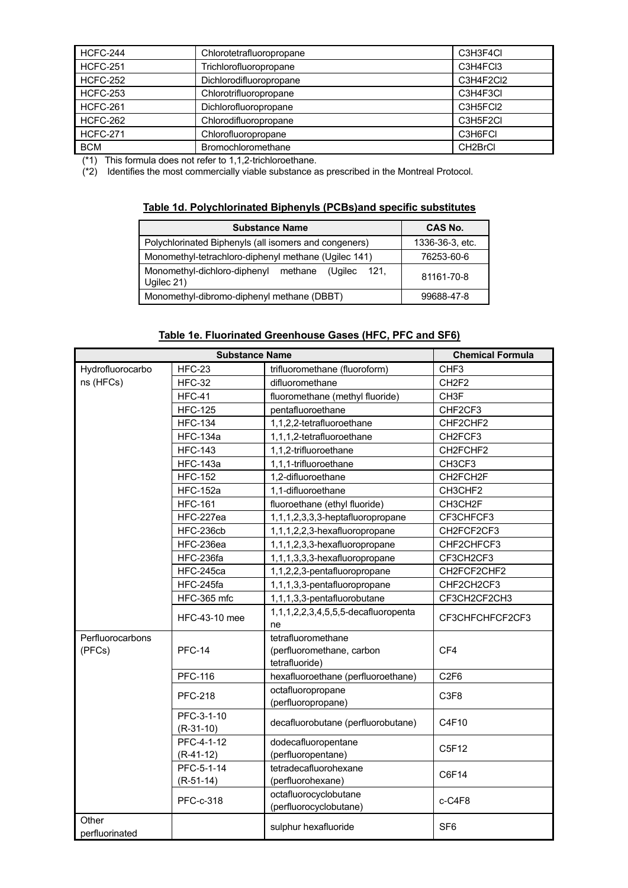| <b>HCFC-244</b> | Chlorotetrafluoropropane | C3H3F4CI             |
|-----------------|--------------------------|----------------------|
| <b>HCFC-251</b> | Trichlorofluoropropane   | C3H4FCI3             |
| <b>HCFC-252</b> | Dichlorodifluoropropane  | C3H4F2Cl2            |
| <b>HCFC-253</b> | Chlorotrifluoropropane   | C3H4F3CI             |
| <b>HCFC-261</b> | Dichlorofluoropropane    | C3H5FCI2             |
| <b>HCFC-262</b> | Chlorodifluoropropane    | C3H5F2CI             |
| <b>HCFC-271</b> | Chlorofluoropropane      | C3H6FCI              |
| <b>BCM</b>      | Bromochloromethane       | CH <sub>2</sub> BrCl |

(\*1) This formula does not refer to 1,1,2-trichloroethane.

(\*2) Identifies the most commercially viable substance as prescribed in the Montreal Protocol.

#### **Table 1d. Polychlorinated Biphenyls (PCBs)and specific substitutes**

| <b>Substance Name</b>                                                   | CAS No.         |
|-------------------------------------------------------------------------|-----------------|
| Polychlorinated Biphenyls (all isomers and congeners)                   | 1336-36-3, etc. |
| Monomethyl-tetrachloro-diphenyl methane (Ugilec 141)                    | 76253-60-6      |
| Monomethyl-dichloro-diphenyl methane<br>(Ugilec<br>- 121.<br>Ugilec 21) | 81161-70-8      |
| Monomethyl-dibromo-diphenyl methane (DBBT)                              | 99688-47-8      |

#### **Table 1e. Fluorinated Greenhouse Gases (HFC, PFC and SF6)**

| <b>Substance Name</b> |                 | <b>Chemical Formula</b>                    |                   |  |
|-----------------------|-----------------|--------------------------------------------|-------------------|--|
| Hydrofluorocarbo      | <b>HFC-23</b>   | trifluoromethane (fluoroform)              | CHF <sub>3</sub>  |  |
| ns (HFCs)             | <b>HFC-32</b>   | difluoromethane                            | CH <sub>2F2</sub> |  |
|                       | <b>HFC-41</b>   | fluoromethane (methyl fluoride)            | CH <sub>3</sub> F |  |
|                       | <b>HFC-125</b>  | pentafluoroethane                          | CHF2CF3           |  |
|                       | <b>HFC-134</b>  | 1,1,2,2-tetrafluoroethane                  | CHF2CHF2          |  |
|                       | <b>HFC-134a</b> | 1,1,1,2-tetrafluoroethane                  | CH2FCF3           |  |
|                       | <b>HFC-143</b>  | 1,1,2-trifluoroethane                      | CH2FCHF2          |  |
|                       | <b>HFC-143a</b> | 1,1,1-trifluoroethane                      | CH3CF3            |  |
|                       | <b>HFC-152</b>  | 1,2-difluoroethane                         | CH2FCH2F          |  |
|                       | <b>HFC-152a</b> | 1,1-difluoroethane                         | CH3CHF2           |  |
|                       | <b>HFC-161</b>  | fluoroethane (ethyl fluoride)              | CH3CH2F           |  |
|                       | HFC-227ea       | 1,1,1,2,3,3,3-heptafluoropropane           | CF3CHFCF3         |  |
|                       | HFC-236cb       | 1,1,1,2,2,3-hexafluoropropane              | CH2FCF2CF3        |  |
|                       | HFC-236ea       | 1,1,1,2,3,3-hexafluoropropane              | CHF2CHFCF3        |  |
|                       | HFC-236fa       | 1,1,1,3,3,3-hexafluoropropane              | CF3CH2CF3         |  |
|                       | HFC-245ca       | 1,1,2,2,3-pentafluoropropane               | CH2FCF2CHF2       |  |
|                       | HFC-245fa       | 1,1,1,3,3-pentafluoropropane               | CHF2CH2CF3        |  |
|                       | HFC-365 mfc     | 1,1,1,3,3-pentafluorobutane                | CF3CH2CF2CH3      |  |
|                       | HFC-43-10 mee   | 1,1,1,2,2,3,4,5,5,5-decafluoropenta        | CF3CHFCHFCF2CF3   |  |
|                       |                 | ne                                         |                   |  |
| Perfluorocarbons      | <b>PFC-14</b>   | tetrafluoromethane                         |                   |  |
| (PFCs)                |                 | (perfluoromethane, carbon                  | CF4               |  |
|                       |                 | tetrafluoride)                             |                   |  |
|                       | <b>PFC-116</b>  | hexafluoroethane (perfluoroethane)         | C <sub>2F6</sub>  |  |
|                       | <b>PFC-218</b>  | octafluoropropane                          | C3F8              |  |
|                       |                 | (perfluoropropane)                         |                   |  |
|                       | PFC-3-1-10      | decafluorobutane (perfluorobutane)         | C4F10             |  |
|                       | $(R-31-10)$     |                                            |                   |  |
|                       | PFC-4-1-12      | dodecafluoropentane                        | C5F12             |  |
|                       | $(R-41-12)$     | (perfluoropentane)                         |                   |  |
|                       | PFC-5-1-14      | tetradecafluorohexane                      | C6F14             |  |
|                       | $(R-51-14)$     | (perfluorohexane)<br>octafluorocyclobutane |                   |  |
|                       | PFC-c-318       | (perfluorocyclobutane)                     | c-C4F8            |  |
| Other                 |                 |                                            |                   |  |
| perfluorinated        |                 | sulphur hexafluoride                       | SF <sub>6</sub>   |  |
|                       |                 |                                            |                   |  |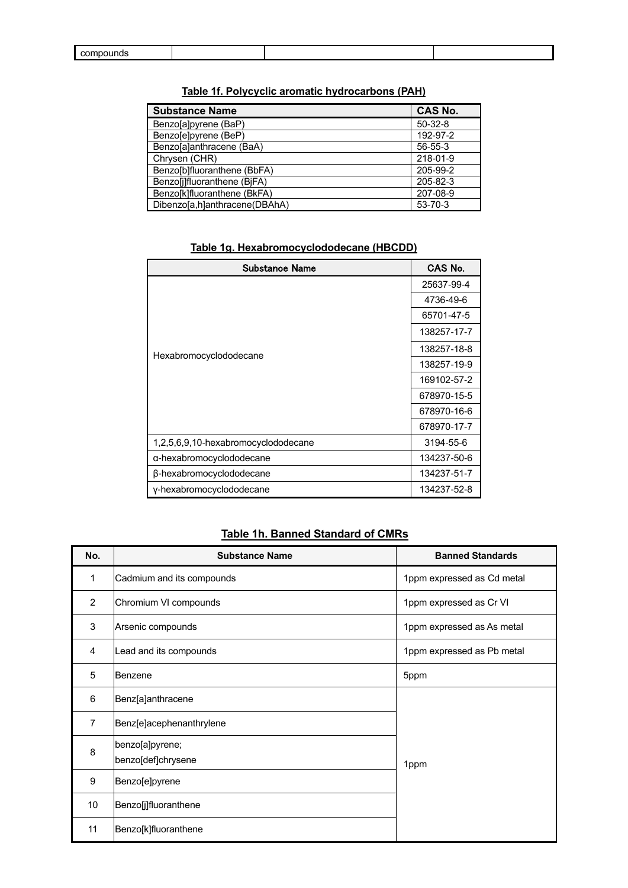| <b>Substance Name</b>         | <b>CAS No.</b> |
|-------------------------------|----------------|
| Benzo[a]pyrene (BaP)          | $50-32-8$      |
| Benzo[e]pyrene (BeP)          | 192-97-2       |
| Benzo[a]anthracene (BaA)      | 56-55-3        |
| Chrysen (CHR)                 | 218-01-9       |
| Benzo[b]fluoranthene (BbFA)   | 205-99-2       |
| Benzo[j]fluoranthene (BjFA)   | 205-82-3       |
| Benzo[k]fluoranthene (BkFA)   | 207-08-9       |
| Dibenzo[a,h]anthracene(DBAhA) | 53-70-3        |

## **Table 1f. Polycyclic aromatic hydrocarbons (PAH)**

| Substance Name                      | CAS No.     |
|-------------------------------------|-------------|
|                                     | 25637-99-4  |
|                                     | 4736-49-6   |
|                                     | 65701-47-5  |
|                                     | 138257-17-7 |
| Hexabromocyclododecane              | 138257-18-8 |
|                                     | 138257-19-9 |
|                                     | 169102-57-2 |
|                                     | 678970-15-5 |
|                                     | 678970-16-6 |
|                                     | 678970-17-7 |
| 1,2,5,6,9,10-hexabromocyclododecane | 3194-55-6   |
| α-hexabromocyclododecane            | 134237-50-6 |
| β-hexabromocyclododecane            | 134237-51-7 |
| y-hexabromocyclododecane            | 134237-52-8 |

#### **Table 1g. Hexabromocyclododecane (HBCDD)**

# **Table 1h. Banned Standard of CMRs**

| No. | <b>Substance Name</b>                 | <b>Banned Standards</b>    |
|-----|---------------------------------------|----------------------------|
| 1   | Cadmium and its compounds             | 1ppm expressed as Cd metal |
| 2   | Chromium VI compounds                 | 1ppm expressed as Cr VI    |
| 3   | Arsenic compounds                     | 1ppm expressed as As metal |
| 4   | Lead and its compounds                | 1ppm expressed as Pb metal |
| 5   | Benzene                               | 5ppm                       |
| 6   | Benz[a]anthracene                     |                            |
| 7   | Benz[e]acephenanthrylene              |                            |
| 8   | benzo[a]pyrene;<br>benzo[def]chrysene | 1ppm                       |
| 9   | Benzo[e]pyrene                        |                            |
| 10  | Benzo[j]fluoranthene                  |                            |
| 11  | Benzo[k]fluoranthene                  |                            |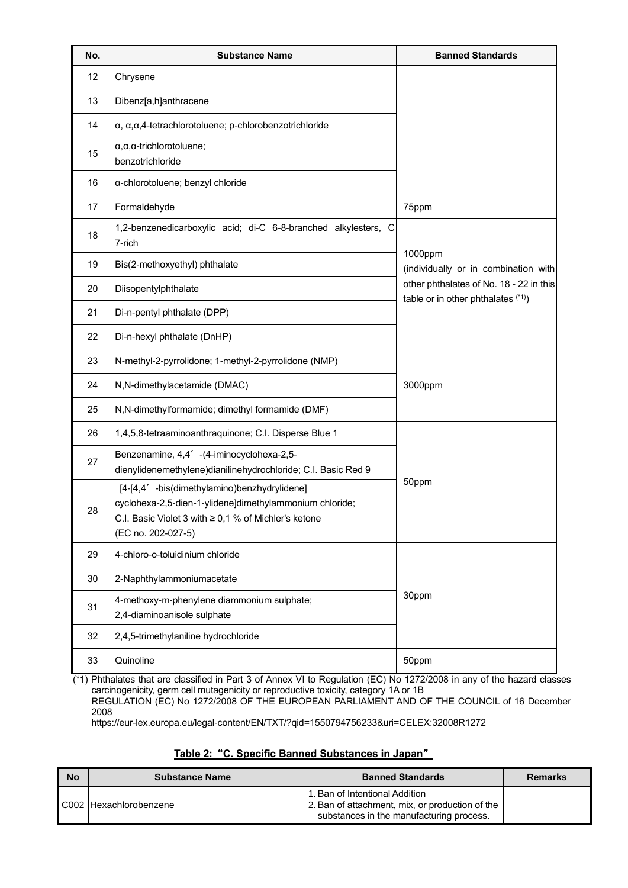| No. | <b>Substance Name</b>                                                                                                                                                                      | <b>Banned Standards</b>                                                                                                            |  |
|-----|--------------------------------------------------------------------------------------------------------------------------------------------------------------------------------------------|------------------------------------------------------------------------------------------------------------------------------------|--|
| 12  | Chrysene                                                                                                                                                                                   |                                                                                                                                    |  |
| 13  | Dibenz[a,h]anthracene                                                                                                                                                                      |                                                                                                                                    |  |
| 14  | $\alpha$ , $\alpha$ , $\alpha$ ,4-tetrachlorotoluene; p-chlorobenzotrichloride                                                                                                             |                                                                                                                                    |  |
| 15  | $\alpha, \alpha$ , a-trichlorotoluene;<br>benzotrichloride                                                                                                                                 |                                                                                                                                    |  |
| 16  | a-chlorotoluene; benzyl chloride                                                                                                                                                           |                                                                                                                                    |  |
| 17  | Formaldehyde                                                                                                                                                                               | 75ppm                                                                                                                              |  |
| 18  | 1,2-benzenedicarboxylic acid; di-C 6-8-branched alkylesters, C<br>7-rich                                                                                                                   | 1000ppm<br>(individually or in combination with<br>other phthalates of No. 18 - 22 in this<br>table or in other phthalates $(1)$ ) |  |
| 19  | Bis(2-methoxyethyl) phthalate                                                                                                                                                              |                                                                                                                                    |  |
| 20  | Diisopentylphthalate                                                                                                                                                                       |                                                                                                                                    |  |
| 21  | Di-n-pentyl phthalate (DPP)                                                                                                                                                                |                                                                                                                                    |  |
| 22  | Di-n-hexyl phthalate (DnHP)                                                                                                                                                                |                                                                                                                                    |  |
| 23  | N-methyl-2-pyrrolidone; 1-methyl-2-pyrrolidone (NMP)                                                                                                                                       |                                                                                                                                    |  |
| 24  | N,N-dimethylacetamide (DMAC)                                                                                                                                                               | 3000ppm                                                                                                                            |  |
| 25  | N,N-dimethylformamide; dimethyl formamide (DMF)                                                                                                                                            |                                                                                                                                    |  |
| 26  | 1,4,5,8-tetraaminoanthraquinone; C.I. Disperse Blue 1                                                                                                                                      |                                                                                                                                    |  |
| 27  | Benzenamine, 4,4' -(4-iminocyclohexa-2,5-<br>dienylidenemethylene) dianilinehydrochloride; C.I. Basic Red 9                                                                                | 50ppm                                                                                                                              |  |
| 28  | [4-[4,4' -bis(dimethylamino)benzhydrylidene]<br>cyclohexa-2,5-dien-1-ylidene]dimethylammonium chloride;<br>C.I. Basic Violet 3 with $\geq 0.1$ % of Michler's ketone<br>(EC no. 202-027-5) |                                                                                                                                    |  |
| 29  | 4-chloro-o-toluidinium chloride                                                                                                                                                            |                                                                                                                                    |  |
| 30  | 2-Naphthylammoniumacetate                                                                                                                                                                  |                                                                                                                                    |  |
| 31  | 4-methoxy-m-phenylene diammonium sulphate;<br>2,4-diaminoanisole sulphate                                                                                                                  | 30ppm                                                                                                                              |  |
| 32  | 2,4,5-trimethylaniline hydrochloride                                                                                                                                                       |                                                                                                                                    |  |
| 33  | Quinoline                                                                                                                                                                                  | 50ppm                                                                                                                              |  |

(\*1) Phthalates that are classified in Part 3 of Annex VI to Regulation (EC) No 1272/2008 in any of the hazard classes carcinogenicity, germ cell mutagenicity or reproductive toxicity, category 1A or 1B REGULATION (EC) No 1272/2008 OF THE EUROPEAN PARLIAMENT AND OF THE COUNCIL of 16 December 2008 <https://eur-lex.europa.eu/legal-content/EN/TXT/?qid=1550794756233&uri=CELEX:32008R1272>

# **Table 2:**"**C. Specific Banned Substances in Japan**"

| <b>No</b> | <b>Substance Name</b>  | <b>Banned Standards</b>                                                                                                        | Remarks |
|-----------|------------------------|--------------------------------------------------------------------------------------------------------------------------------|---------|
|           | C002 Hexachlorobenzene | 11. Ban of Intentional Addition<br>2. Ban of attachment, mix, or production of the<br>substances in the manufacturing process. |         |